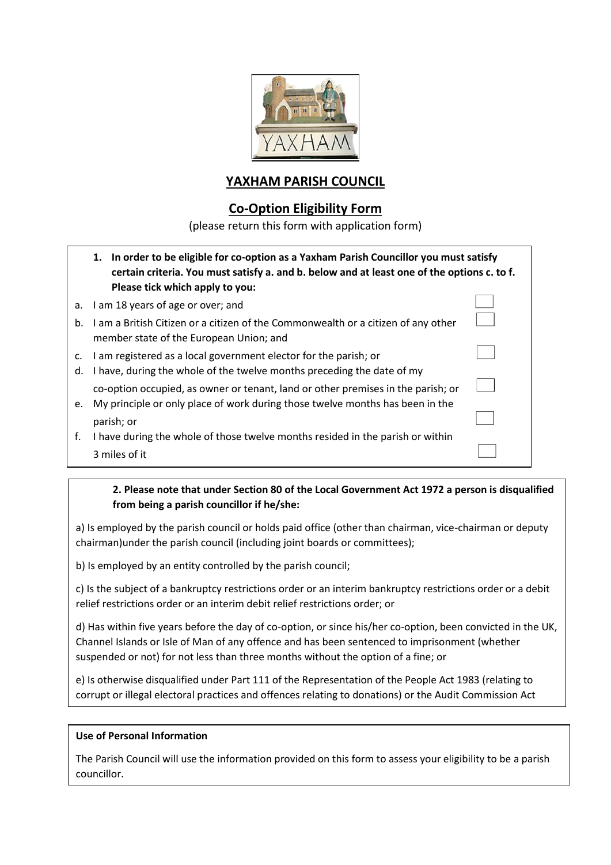

## **YAXHAM PARISH COUNCIL**

## **Co-Option Eligibility Form**

(please return this form with application form)

|                | 1. In order to be eligible for co-option as a Yaxham Parish Councillor you must satisfy<br>certain criteria. You must satisfy a. and b. below and at least one of the options c. to f.<br>Please tick which apply to you: |  |
|----------------|---------------------------------------------------------------------------------------------------------------------------------------------------------------------------------------------------------------------------|--|
|                | a. I am 18 years of age or over; and                                                                                                                                                                                      |  |
| b.             | I am a British Citizen or a citizen of the Commonwealth or a citizen of any other<br>member state of the European Union; and                                                                                              |  |
| $\mathsf{C}$ . | I am registered as a local government elector for the parish; or                                                                                                                                                          |  |
| d.             | I have, during the whole of the twelve months preceding the date of my                                                                                                                                                    |  |
|                | co-option occupied, as owner or tenant, land or other premises in the parish; or                                                                                                                                          |  |
|                | e. My principle or only place of work during those twelve months has been in the                                                                                                                                          |  |
|                | parish; or                                                                                                                                                                                                                |  |
| f.             | I have during the whole of those twelve months resided in the parish or within                                                                                                                                            |  |
|                | 3 miles of it                                                                                                                                                                                                             |  |

### **2. Please note that under Section 80 of the Local Government Act 1972 a person is disqualified from being a parish councillor if he/she:**

a) Is employed by the parish council or holds paid office (other than chairman, vice-chairman or deputy chairman)under the parish council (including joint boards or committees);

b) Is employed by an entity controlled by the parish council;

c) Is the subject of a bankruptcy restrictions order or an interim bankruptcy restrictions order or a debit relief restrictions order or an interim debit relief restrictions order; or

d) Has within five years before the day of co-option, or since his/her co-option, been convicted in the UK, Channel Islands or Isle of Man of any offence and has been sentenced to imprisonment (whether suspended or not) for not less than three months without the option of a fine; or

e) Is otherwise disqualified under Part 111 of the Representation of the People Act 1983 (relating to corrupt or illegal electoral practices and offences relating to donations) or the Audit Commission Act

### **Use of Personal Information**

1988.

The Parish Council will use the information provided on this form to assess your eligibility to be a parish councillor.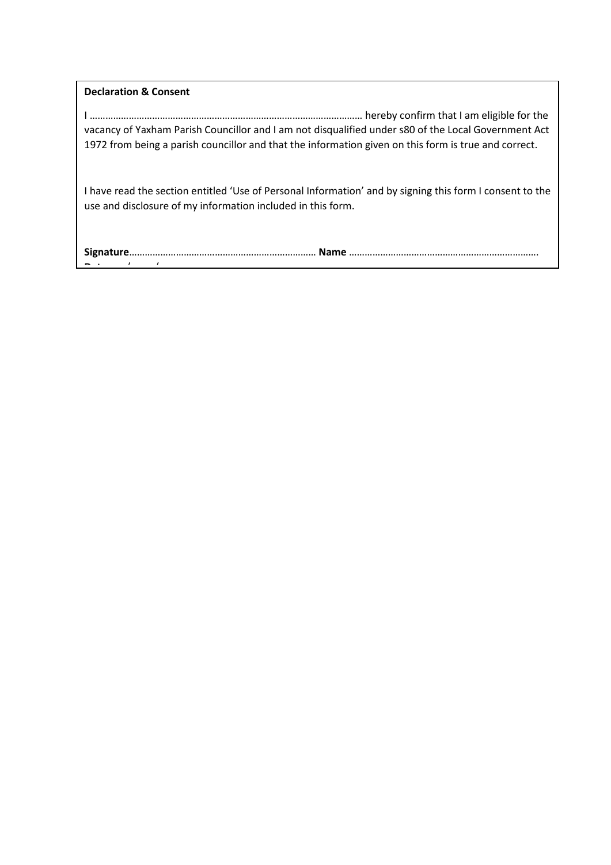**Declaration & Consent**

I …………………………………………………………………………………………… hereby confirm that I am eligible for the vacancy of Yaxham Parish Councillor and I am not disqualified under s80 of the Local Government Act 1972 from being a parish councillor and that the information given on this form is true and correct.

I have read the section entitled 'Use of Personal Information' and by signing this form I consent to the use and disclosure of my information included in this form.

**Signature**……………………………………………………………… **Name** ………………………………………………………………. **Date**..…../..……./……..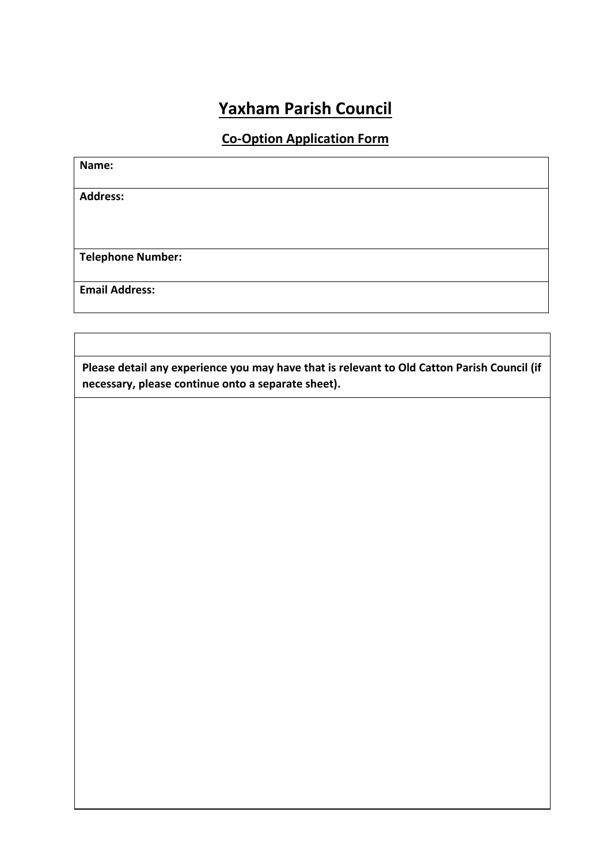# **Yaxham Parish Council**

## **Co-Option Application Form**

| Name:                    |  |  |
|--------------------------|--|--|
| <b>Address:</b>          |  |  |
|                          |  |  |
|                          |  |  |
| <b>Telephone Number:</b> |  |  |
| <b>Email Address:</b>    |  |  |
|                          |  |  |

**Please detail any experience you may have that is relevant to Old Catton Parish Council (if necessary, please continue onto a separate sheet).**